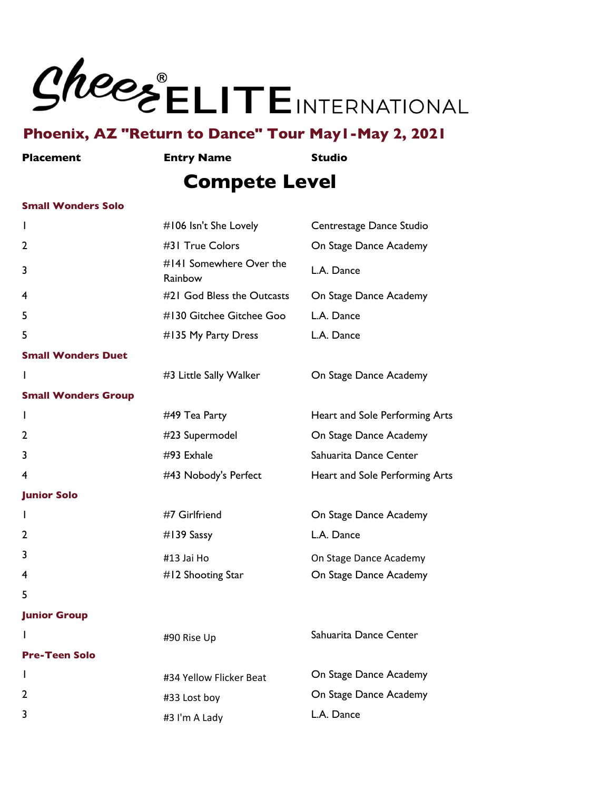

**Placement Entry Name Studio**

## **Compete Level**

#### **Small Wonders Solo**

| I.                         | #106 Isn't She Lovely              | Centrestage Dance Studio       |
|----------------------------|------------------------------------|--------------------------------|
| 2                          | #31 True Colors                    | On Stage Dance Academy         |
| 3                          | #141 Somewhere Over the<br>Rainbow | L.A. Dance                     |
| 4                          | #21 God Bless the Outcasts         | On Stage Dance Academy         |
| 5                          | #130 Gitchee Gitchee Goo           | L.A. Dance                     |
| 5                          | #135 My Party Dress                | L.A. Dance                     |
| <b>Small Wonders Duet</b>  |                                    |                                |
| I.                         | #3 Little Sally Walker             | On Stage Dance Academy         |
| <b>Small Wonders Group</b> |                                    |                                |
| T                          | #49 Tea Party                      | Heart and Sole Performing Arts |
| 2                          | #23 Supermodel                     | On Stage Dance Academy         |
| 3                          | #93 Exhale                         | Sahuarita Dance Center         |
| 4                          | #43 Nobody's Perfect               | Heart and Sole Performing Arts |
| <b>Junior Solo</b>         |                                    |                                |
| I.                         | #7 Girlfriend                      | On Stage Dance Academy         |
| 2                          | #139 Sassy                         | L.A. Dance                     |
| 3                          | #13 Jai Ho                         | On Stage Dance Academy         |
| 4                          | #12 Shooting Star                  | On Stage Dance Academy         |
| 5                          |                                    |                                |
| <b>Junior Group</b>        |                                    |                                |
|                            | #90 Rise Up                        | Sahuarita Dance Center         |
| <b>Pre-Teen Solo</b>       |                                    |                                |
| I.                         | #34 Yellow Flicker Beat            | On Stage Dance Academy         |
| 2                          | #33 Lost boy                       | On Stage Dance Academy         |
| 3                          | #3 I'm A Lady                      | L.A. Dance                     |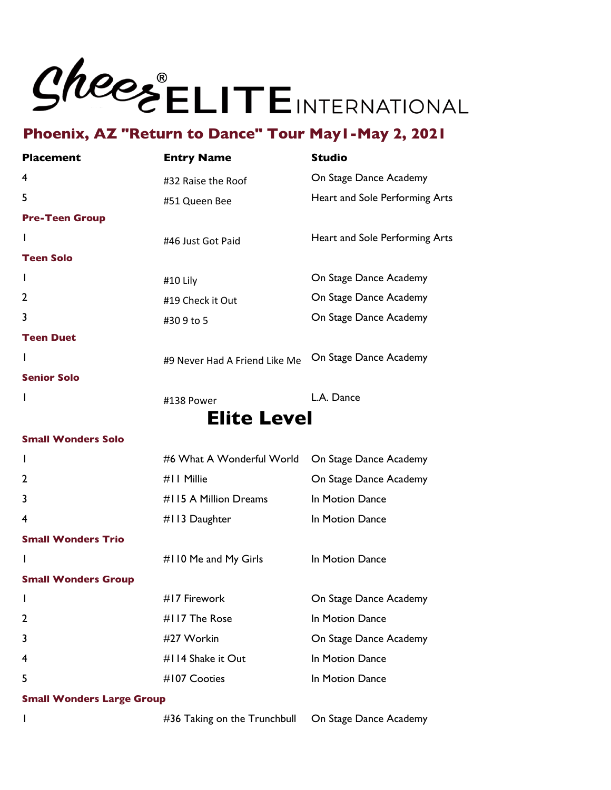

| <b>Placement</b>           | <b>Entry Name</b>             | <b>Studio</b>                  |
|----------------------------|-------------------------------|--------------------------------|
| 4                          | #32 Raise the Roof            | On Stage Dance Academy         |
| 5                          | #51 Queen Bee                 | Heart and Sole Performing Arts |
| <b>Pre-Teen Group</b>      |                               |                                |
| I.                         | #46 Just Got Paid             | Heart and Sole Performing Arts |
| <b>Teen Solo</b>           |                               |                                |
| T                          | #10 Lily                      | On Stage Dance Academy         |
| $\overline{2}$             | #19 Check it Out              | On Stage Dance Academy         |
| 3                          | #309 to 5                     | On Stage Dance Academy         |
| <b>Teen Duet</b>           |                               |                                |
| I.                         | #9 Never Had A Friend Like Me | On Stage Dance Academy         |
| <b>Senior Solo</b>         |                               |                                |
| L                          | #138 Power                    | L.A. Dance                     |
|                            | <b>Elite Level</b>            |                                |
| <b>Small Wonders Solo</b>  |                               |                                |
| I.                         | #6 What A Wonderful World     | On Stage Dance Academy         |
| 2                          | #11 Millie                    | On Stage Dance Academy         |
| 3                          | #115 A Million Dreams         | In Motion Dance                |
| 4                          | #113 Daughter                 | In Motion Dance                |
| <b>Small Wonders Trio</b>  |                               |                                |
|                            | #110 Me and My Girls          | In Motion Dance                |
| <b>Small Wonders Group</b> |                               |                                |
| I.                         | #17 Firework                  | On Stage Dance Academy         |
| 2                          | #117 The Rose                 | In Motion Dance                |
| 3                          | #27 Workin                    | On Stage Dance Academy         |
| 4                          | #114 Shake it Out             | In Motion Dance                |

**Small Wonders Large Group**

#36 Taking on the Trunchbull On Stage Dance Academy

**#107 Cooties** In Motion Dance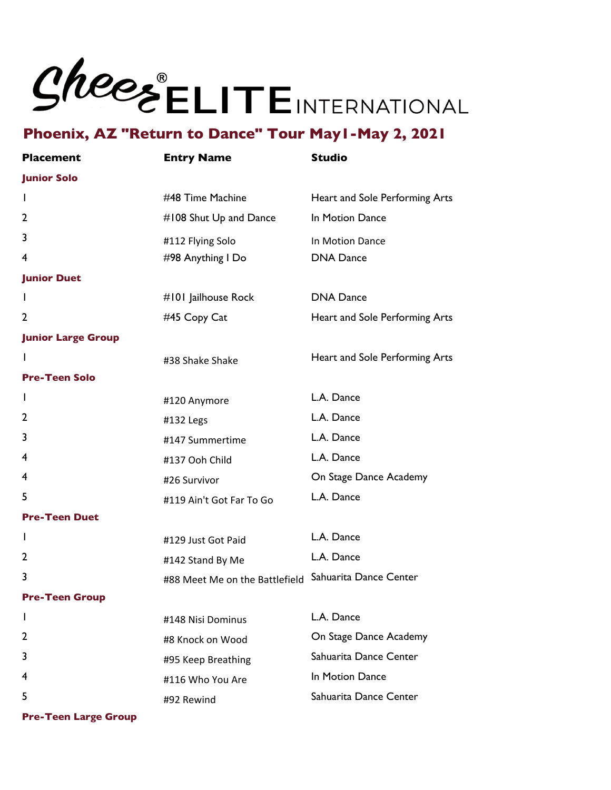

| <b>Placement</b>          | <b>Entry Name</b>              | <b>Studio</b>                  |
|---------------------------|--------------------------------|--------------------------------|
| <b>Junior Solo</b>        |                                |                                |
| L                         | #48 Time Machine               | Heart and Sole Performing Arts |
| 2                         | #108 Shut Up and Dance         | In Motion Dance                |
| 3                         | #112 Flying Solo               | In Motion Dance                |
| 4                         | #98 Anything I Do              | <b>DNA Dance</b>               |
| <b>Junior Duet</b>        |                                |                                |
| L                         | #101 Jailhouse Rock            | <b>DNA Dance</b>               |
| 2                         | #45 Copy Cat                   | Heart and Sole Performing Arts |
| <b>Junior Large Group</b> |                                |                                |
| I.                        | #38 Shake Shake                | Heart and Sole Performing Arts |
| <b>Pre-Teen Solo</b>      |                                |                                |
| L                         | #120 Anymore                   | L.A. Dance                     |
| 2                         | #132 Legs                      | L.A. Dance                     |
| 3                         | #147 Summertime                | L.A. Dance                     |
| 4                         | #137 Ooh Child                 | L.A. Dance                     |
| 4                         | #26 Survivor                   | On Stage Dance Academy         |
| 5                         | #119 Ain't Got Far To Go       | L.A. Dance                     |
| <b>Pre-Teen Duet</b>      |                                |                                |
| I.                        | #129 Just Got Paid             | L.A. Dance                     |
| 2                         | #142 Stand By Me               | L.A. Dance                     |
| 3                         | #88 Meet Me on the Battlefield | Sahuarita Dance Center         |
| <b>Pre-Teen Group</b>     |                                |                                |
| L                         | #148 Nisi Dominus              | L.A. Dance                     |
| 2                         | #8 Knock on Wood               | On Stage Dance Academy         |
| 3                         | #95 Keep Breathing             | Sahuarita Dance Center         |
| 4                         | #116 Who You Are               | In Motion Dance                |
| 5                         | #92 Rewind                     | Sahuarita Dance Center         |
|                           |                                |                                |

**Pre-Teen Large Group**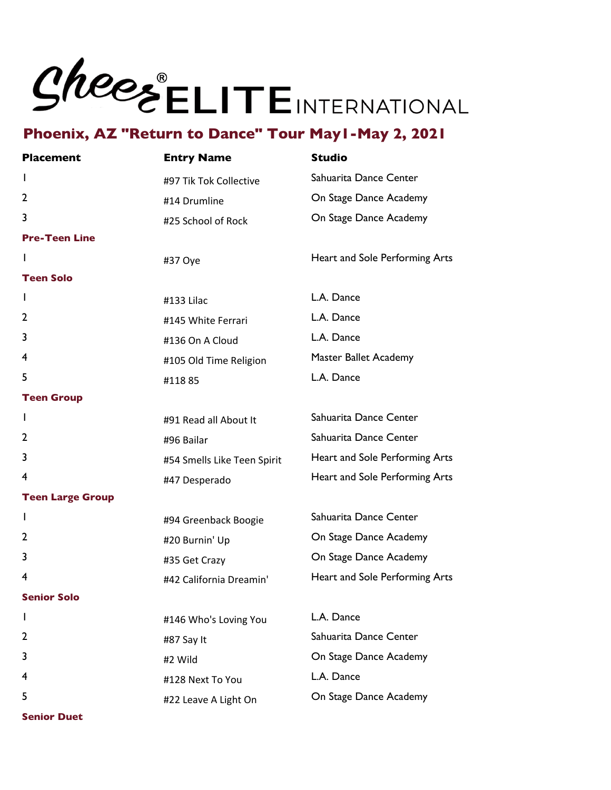

| <b>Placement</b>        | <b>Entry Name</b>           | <b>Studio</b>                  |
|-------------------------|-----------------------------|--------------------------------|
| L                       | #97 Tik Tok Collective      | Sahuarita Dance Center         |
| 2                       | #14 Drumline                | On Stage Dance Academy         |
| 3                       | #25 School of Rock          | On Stage Dance Academy         |
| <b>Pre-Teen Line</b>    |                             |                                |
| L                       | #37 Oye                     | Heart and Sole Performing Arts |
| <b>Teen Solo</b>        |                             |                                |
| I.                      | #133 Lilac                  | L.A. Dance                     |
| 2                       | #145 White Ferrari          | L.A. Dance                     |
| 3                       | #136 On A Cloud             | L.A. Dance                     |
| 4                       | #105 Old Time Religion      | Master Ballet Academy          |
| 5                       | #11885                      | L.A. Dance                     |
| <b>Teen Group</b>       |                             |                                |
| I.                      | #91 Read all About It       | Sahuarita Dance Center         |
| 2                       | #96 Bailar                  | Sahuarita Dance Center         |
| 3                       | #54 Smells Like Teen Spirit | Heart and Sole Performing Arts |
| 4                       | #47 Desperado               | Heart and Sole Performing Arts |
| <b>Teen Large Group</b> |                             |                                |
| L                       | #94 Greenback Boogie        | Sahuarita Dance Center         |
| 2                       | #20 Burnin' Up              | On Stage Dance Academy         |
| 3                       | #35 Get Crazy               | On Stage Dance Academy         |
| 4                       | #42 California Dreamin'     | Heart and Sole Performing Arts |
| <b>Senior Solo</b>      |                             |                                |
| ı                       | #146 Who's Loving You       | L.A. Dance                     |
| 2                       | #87 Say It                  | Sahuarita Dance Center         |
| 3                       | #2 Wild                     | On Stage Dance Academy         |
| 4                       | #128 Next To You            | L.A. Dance                     |
| 5                       | #22 Leave A Light On        | On Stage Dance Academy         |

**Senior Duet**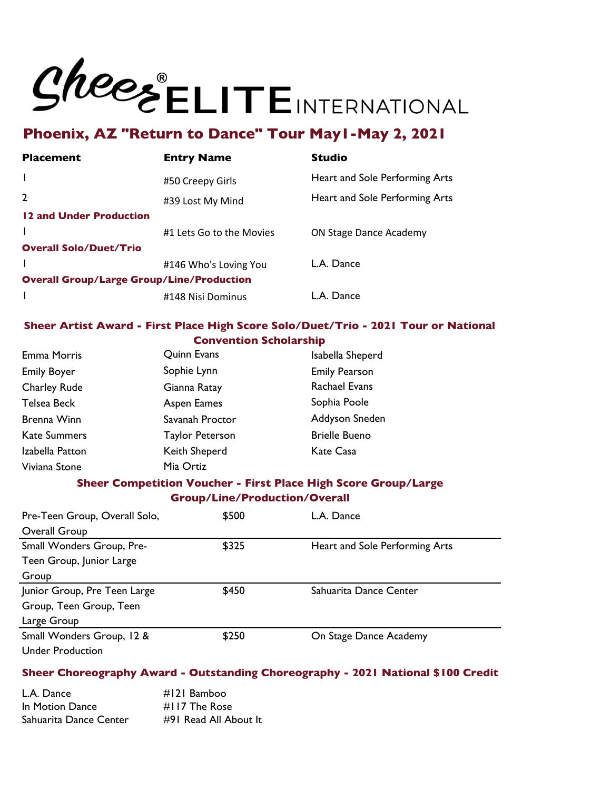

| Heart and Sole Performing Arts |
|--------------------------------|
| Heart and Sole Performing Arts |
|                                |
| <b>ON Stage Dance Academy</b>  |
|                                |
|                                |
|                                |
|                                |
|                                |

#### **Sheer Artist Award - First Place High Score Solo/Duet/Trio - 2021 Tour or National Convention Scholarship**

| <b>Emma Morris</b>  | Quinn Evans            | Isabella Sheperd     |
|---------------------|------------------------|----------------------|
| <b>Emily Boyer</b>  | Sophie Lynn            | <b>Emily Pearson</b> |
| <b>Charley Rude</b> | Gianna Ratay           | <b>Rachael Evans</b> |
| Telsea Beck         | Aspen Eames            | Sophia Poole         |
| Brenna Winn         | Savanah Proctor        | Addyson Sneden       |
| <b>Kate Summers</b> | <b>Taylor Peterson</b> | <b>Brielle Bueno</b> |
| Izabella Patton     | Keith Sheperd          | Kate Casa            |
| Viviana Stone       | Mia Ortiz              |                      |

#### **Sheer Competition Voucher - First Place High Score Group/Large Group/Line/Production/Overall**

| Pre-Teen Group, Overall Solo, | \$500 | L.A. Dance                     |
|-------------------------------|-------|--------------------------------|
| Overall Group                 |       |                                |
| Small Wonders Group, Pre-     | \$325 | Heart and Sole Performing Arts |
| Teen Group, Junior Large      |       |                                |
| Group                         |       |                                |
| Junior Group, Pre Teen Large  | \$450 | Sahuarita Dance Center         |
| Group, Teen Group, Teen       |       |                                |
| Large Group                   |       |                                |
| Small Wonders Group, 12 &     | \$250 | On Stage Dance Academy         |
| <b>Under Production</b>       |       |                                |

#### **Sheer Choreography Award - Outstanding Choreography - 2021 National \$100 Credit**

| L.A. Dance             | $#121$ Bamboo         |
|------------------------|-----------------------|
| In Motion Dance        | $\#$ I I 7 The Rose   |
| Sahuarita Dance Center | #91 Read All About It |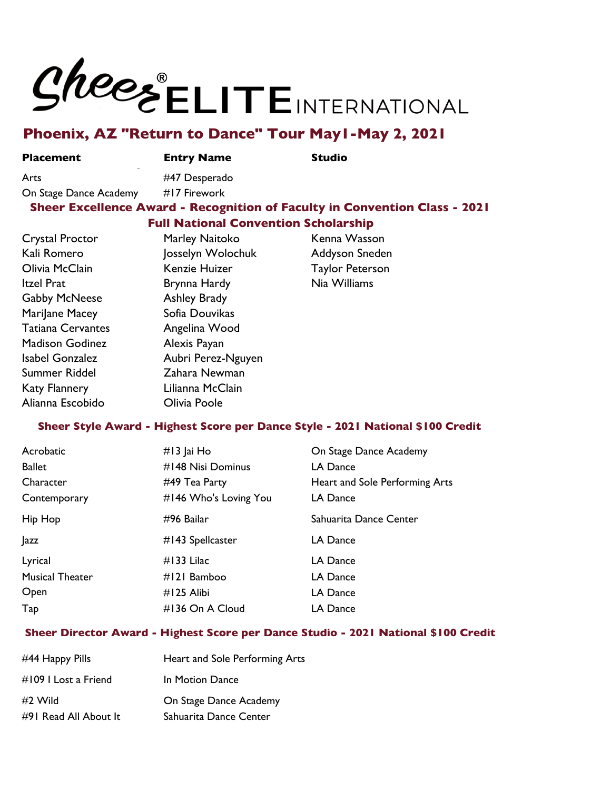# SheesELITEINTERNATIONAL

### **Phoenix, AZ "Return to Dance" Tour May1-May 2, 2021**

**Placement** 

**Place Entry Name Studio** 

Arts **#47 Desperado** 

#### On Stage Dance Academy #17 Firework **Sheer Excellence Award - Recognition of Faculty in Convention Class - 2021 Full National Convention Scholarship**

| Crystal Proctor          | Marley Naitoko      | Kenna Wasson           |
|--------------------------|---------------------|------------------------|
| Kali Romero              | Josselyn Wolochuk   | Addyson Sneden         |
| Olivia McClain           | Kenzie Huizer       | <b>Taylor Peterson</b> |
| Itzel Prat               | Brynna Hardy        | Nia Williams           |
| <b>Gabby McNeese</b>     | <b>Ashley Brady</b> |                        |
| Marilane Macey           | Sofia Douvikas      |                        |
| <b>Tatiana Cervantes</b> | Angelina Wood       |                        |
| <b>Madison Godinez</b>   | Alexis Payan        |                        |
| Isabel Gonzalez          | Aubri Perez-Nguyen  |                        |
| Summer Riddel            | Zahara Newman       |                        |
| <b>Katy Flannery</b>     | Lilianna McClain    |                        |
| Alianna Escobido         | Olivia Poole        |                        |

#### **Sheer Style Award - Highest Score per Dance Style - 2021 National \$100 Credit**

| Acrobatic              | $#13$ Jai Ho          | On Stage Dance Academy         |
|------------------------|-----------------------|--------------------------------|
| <b>Ballet</b>          | #148 Nisi Dominus     | LA Dance                       |
| Character              | #49 Tea Party         | Heart and Sole Performing Arts |
| Contemporary           | #146 Who's Loving You | LA Dance                       |
| Hip Hop                | #96 Bailar            | Sahuarita Dance Center         |
| <b>Jazz</b>            | #143 Spellcaster      | LA Dance                       |
| Lyrical                | $#133$ Lilac          | LA Dance                       |
| <b>Musical Theater</b> | #121 Bamboo           | LA Dance                       |
| Open                   | #125 Alibi            | LA Dance                       |
| Tap                    | #136 On A Cloud       | LA Dance                       |

#### **Sheer Director Award - Highest Score per Dance Studio - 2021 National \$100 Credit**

| #44 Happy Pills       | Heart and Sole Performing Arts |
|-----------------------|--------------------------------|
| #109 I Lost a Friend  | In Motion Dance                |
| #2 Wild               | On Stage Dance Academy         |
| #91 Read All About It | Sahuarita Dance Center         |